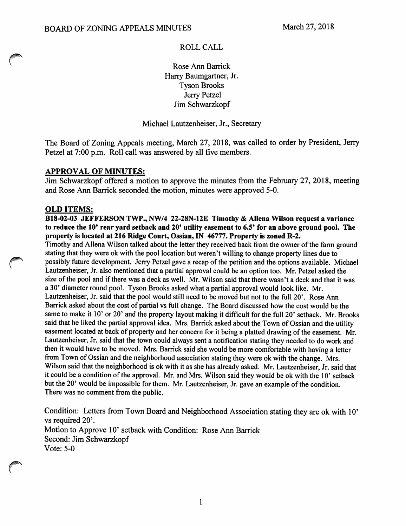## ROLL CALL

Rose Ann Barrick Harry Baumgartner, Jr. Tyson Brooks Jerry Petzel Jim Schwarzkopf

Michael Lautzenheiser, Jr., Secretary

The Board of Zoning Appeals meeting, March 27, 2018, was called to order by President, Jerry Petzel at 7:00 p.m. Roll call was answered by all five members.

## *APPROVAL OF MINUTES:*

Jim Schwarzkopf offered a motion to approve the minutes from the February 27, 2018, meeting and Rose Ann Barrick seconded the motion, minutes were approved 5-0.

### *OLD ITEMS:*

*B18-02-03 JEFFERSON TWP.,NW/4 22-28N-12E Timothy & Allena Wilson request a variance to reduce the 10' rear yard setback and 20' utility easement to 6.5' for an above ground pool. The property is located at 216 Ridge Court, Ossian, IN 46777. Property is zoned R-2.* Timothy and Allena Wilson talked about the letter they received back from the owner of the farm ground

stating that they were ok with the pool location but weren't willing to change property lines due to **^^** possibly future development. Jerry Petzel gave arecap ofthe petition and the options available. Michael Lautzenheiser, Jr. also mentioned that a partial approval could be an option too. Mr. Petzel asked the size of the pool and if there was a deck as well. Mr. Wilson said that there wasn't a deck and that it was a 30' diameter round pool. Tyson Brooks asked what a partial approval would look like. Mr. Lautzenheiser, Jr. said that the pool would still need to be moved but not to the full 20'. Rose Ann Barrick asked about the cost of partial vs full change. The Board discussed how the cost would be the same to make it 10' or 20' and the property layout making it difficult for the full 20' setback. Mr. Brooks said that he liked the partial approval idea. Mrs. Barrick asked about the Town of Ossian and the utility easement located at back of property and her concern for it being a platted drawing of the easement. Mr. Lautzenheiser, Jr. said that the town could always sent a notification stating they needed to do work and then it would have to be moved. Mrs. Barrick said she would be more comfortable with having a letter from Town of Ossian and the neighborhood association stating they were ok with the change. Mrs. Wilson said that the neighborhood is ok with it as she has already asked. Mr. Lautzenheiser, Jr. said that it could be a condition of the approval. Mr. and Mrs. Wilson said they would be ok with the 10' setback but the 20' would be impossible for them. Mr. Lautzenheiser, Jr. gave an example of the condition. There was no comment from the public.

Condition: Letters from Town Board and Neighborhood Association stating they are ok with 10' vs required 20'. Motion to Approve 10' setback with Condition: Rose Ann Barrick Second: Jim Schwarzkopf Vote: 5-0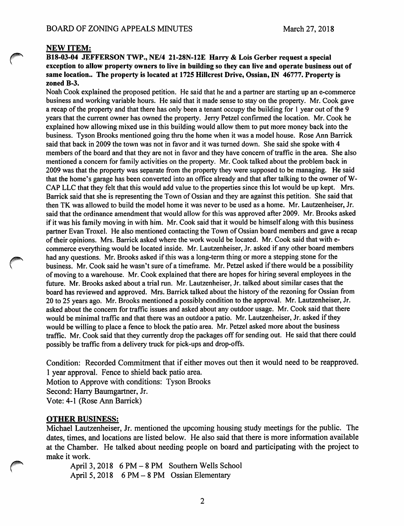#### *NEW ITEM:*

#### *#^ B18-03-04 JEFFERSON TWP.,NE/4 21-28N-12E Harry & Lois Gerber request* <sup>a</sup> *special exception to allow property owners to live in building* so *they can live and operate business out of same location.. The property is located at 1725 Hillcrest Drive, Ossian, IN 46777. Property is zoned B-3.*

Noah Cook explained the proposed petition. He said that he and a partner are starting up an e-commerce business and working variable hours. He said that it made sense to stay on the property. Mr. Cook gave a recap of the property and that there has only been a tenant occupy the building for 1 year out of the 9 years that the current owner has owned the property. Jerry Petzel confirmed the location. Mr. Cook he explained how allowing mixed use in this building would allow them to put more money back into the business. Tyson Brooks mentioned going thru the home when it was a model house. Rose Ann Barrick said that back in 2009 the town was not in favor and it was turned down. She said she spoke with 4 members of the board and that they are not in favor and they have concern of traffic in the area. She also mentioned a concern for family activities on the property. Mr. Cook talked about the problem back in 2009 was that the property was separate from the property they were supposed to be managing. He said that the home's garage has been converted into an office already and that after talking to the owner ofW-CAP LLC that they felt that this would add value to the properties since this lot would be up kept. Mrs. Barrick said that she is representing the Town of Ossian and they are against this petition. She said that then TK was allowed to build the model home it was never to be used as a home. Mr. Lautzenheiser, Jr. said that the ordinance amendment that would allow for this was approved after 2009. Mr. Brooks asked if it was his family moving in with him. Mr. Cook said that it would be himself along with this business partner Evan Troxel. He also mentioned contacting the Town of Ossian board members and gave a recap of their opinions. Mrs. Barrick asked where the workwould be located. Mr. Cook said that with ecommerce everything would be located inside. Mr. Lautzenheiser, Jr. asked if any other board members had any questions. Mr. Brooks asked if this was a long-term thing or more a stepping stone for the business. Mr. Cook said he wasn't sure of a timeframe. Mr. Petzel asked if there would be a possibility of moving to a warehouse. Mr. Cook explained that there are hopes for hiring several employees in the future. Mr. Brooks asked about a trial run. Mr. Lautzenheiser, Jr. talked about similar cases that the board has reviewed and approved. Mrs. Barrick talked about the history of the rezoning for Ossian from 20 to 25 years ago. Mr. Brooks mentioned a possibly condition to the approval. Mr. Lautzenheiser, Jr. asked about the concern for traffic issues and asked about any outdoor usage. Mr. Cook said that there would be minimal traffic and that there was an outdoor a patio. Mr. Lautzenheiser, Jr. asked if they would be willing to place a fence to block the patio area. Mr. Petzel asked more about the business traffic. Mr. Cook said that they currently drop the packages off for sending out. He said that there could possibly be traffic from a delivery truck for pick-ups and drop-offs.

Condition: Recorded Commitment that if either moves out then it would need to be reapproved. 1 year approval. Fence to shield back patio area. Motion to Approve with conditions: Tyson Brooks Second: Harry Baumgartner, Jr. Vote: 4-1 (Rose Ann Barrick)

#### *OTHER BUSINESS:*

Michael Lautzenheiser, Jr. mentioned the upcoming housing study meetings for the public. The dates, times, and locations are listed below. He also said that there is more information available at the Chamber. He talked about needing people on board and participating with the project to make it work.

**f^** April 3, <sup>2018</sup> 6PM-8 PM Southern Wells School April 5, 2018 6 PM-8 PM Ossian Elementary